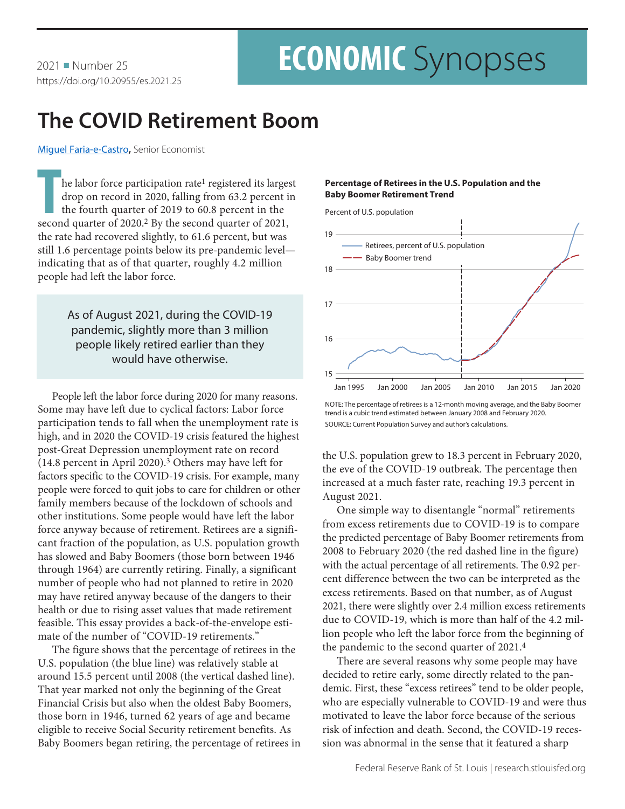# **ECONOMIC** Synopses

## **The COVID Retirement Boom**

[Miguel Faria-e-Castro](https://research.stlouisfed.org/econ/faria-e-castro/sel/)**,** Senior Economist

**The labor force participation rate<sup>1</sup> registered its larges drop on record in 2020, falling from 63.2 percent in the second quarter of 2020.<sup>2</sup> By the second quarter of 2021,** he labor force participation rate<sup>1</sup> registered its largest drop on record in 2020, falling from 63.2 percent in the fourth quarter of 2019 to 60.8 percent in the the rate had recovered slightly, to 61.6 percent, but was still 1.6 percentage points below its pre-pandemic level indicating that as of that quarter, roughly 4.2 million people had left the labor force.

> As of August 2021, during the COVID-19 pandemic, slightly more than 3 million people likely retired earlier than they would have otherwise.

People left the labor force during 2020 for many reasons. Some may have left due to cyclical factors: Labor force participation tends to fall when the unemployment rate is high, and in 2020 the COVID-19 crisis featured the highest post-Great Depression unemployment rate on record (14.8 percent in April 2020).3 Others may have left for factors specific to the COVID-19 crisis. For example, many people were forced to quit jobs to care for children or other family members because of the lockdown of schools and other institutions. Some people would have left the labor force anyway because of retirement. Retirees are a significant fraction of the population, as U.S. population growth has slowed and Baby Boomers (those born between 1946 through 1964) are currently retiring. Finally, a significant number of people who had not planned to retire in 2020 may have retired anyway because of the dangers to their health or due to rising asset values that made retirement feasible. This essay provides a back-of-the-envelope estimate of the number of "COVID-19 retirements."

The figure shows that the percentage of retirees in the U.S. population (the blue line) was relatively stable at around 15.5 percent until 2008 (the vertical dashed line). That year marked not only the beginning of the Great Financial Crisis but also when the oldest Baby Boomers, those born in 1946, turned 62 years of age and became eligible to receive Social Security retirement benefits. As Baby Boomers began retiring, the percentage of retirees in

### **Percentage of Retirees in the U.S. Population and the Baby Boomer Retirement Trend**

Percent of U.S. population



NOTE: The percentage of retirees is a 12-month moving average, and the Baby Boomer trend is a cubic trend estimated between January 2008 and February 2020. SOURCE: Current Population Survey and author's calculations.

the U.S. population grew to 18.3 percent in February 2020, the eve of the COVID-19 outbreak. The percentage then increased at a much faster rate, reaching 19.3 percent in August 2021.

One simple way to disentangle "normal" retirements from excess retirements due to COVID-19 is to compare the predicted percentage of Baby Boomer retirements from 2008 to February 2020 (the red dashed line in the figure) with the actual percentage of all retirements. The 0.92 percent difference between the two can be interpreted as the excess retirements. Based on that number, as of August 2021, there were slightly over 2.4 million excess retirements due to COVID-19, which is more than half of the 4.2 million people who left the labor force from the beginning of the pandemic to the second quarter of 2021.4

There are several reasons why some people may have decided to retire early, some directly related to the pandemic. First, these "excess retirees" tend to be older people, who are especially vulnerable to COVID-19 and were thus motivated to leave the labor force because of the serious risk of infection and death. Second, the COVID-19 recession was abnormal in the sense that it featured a sharp